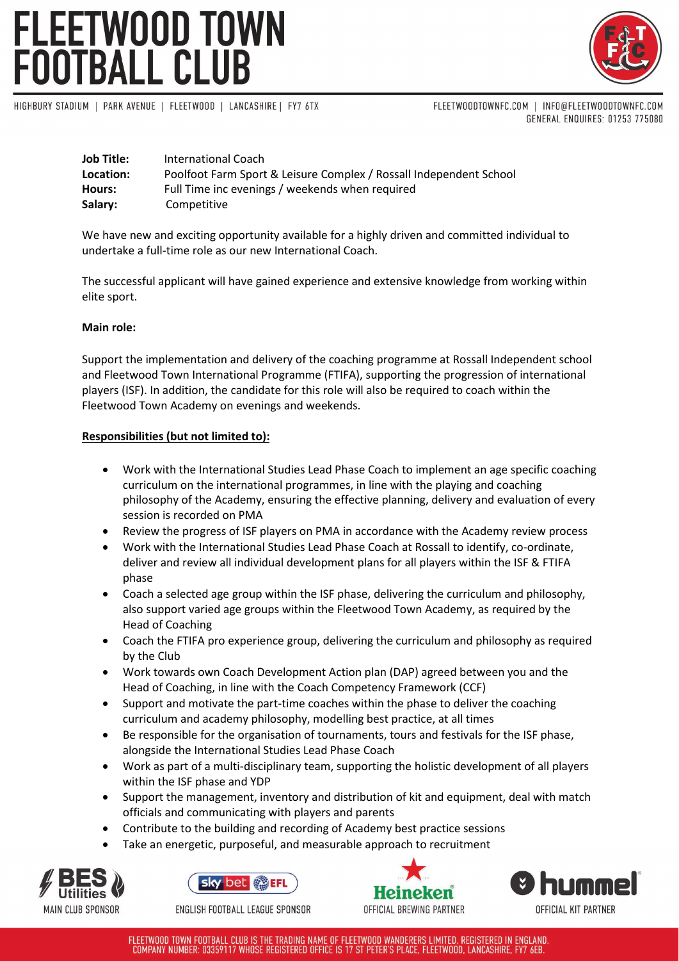# FLEETWOOD TOWN<br>FOOTBALL CLUB



HIGHBURY STADIUM | PARK AVENUE | FLEETWOOD | LANCASHIRE | FY7 6TX

FLEETWOODTOWNFC.COM | INFO@FLEETWOODTOWNFC.COM GENERAL ENQUIRES: 01253 775080

| <b>Job Title:</b> | International Coach                                                |
|-------------------|--------------------------------------------------------------------|
| Location:         | Poolfoot Farm Sport & Leisure Complex / Rossall Independent School |
| Hours:            | Full Time inc evenings / weekends when required                    |
| Salary:           | Competitive                                                        |

We have new and exciting opportunity available for a highly driven and committed individual to undertake a full-time role as our new International Coach.

The successful applicant will have gained experience and extensive knowledge from working within elite sport.

# **Main role:**

Support the implementation and delivery of the coaching programme at Rossall Independent school and Fleetwood Town International Programme (FTIFA), supporting the progression of international players (ISF). In addition, the candidate for this role will also be required to coach within the Fleetwood Town Academy on evenings and weekends.

## **Responsibilities (but not limited to):**

- Work with the International Studies Lead Phase Coach to implement an age specific coaching curriculum on the international programmes, in line with the playing and coaching philosophy of the Academy, ensuring the effective planning, delivery and evaluation of every session is recorded on PMA
- Review the progress of ISF players on PMA in accordance with the Academy review process
- Work with the International Studies Lead Phase Coach at Rossall to identify, co-ordinate, deliver and review all individual development plans for all players within the ISF & FTIFA phase
- Coach a selected age group within the ISF phase, delivering the curriculum and philosophy, also support varied age groups within the Fleetwood Town Academy, as required by the Head of Coaching
- Coach the FTIFA pro experience group, delivering the curriculum and philosophy as required by the Club
- Work towards own Coach Development Action plan (DAP) agreed between you and the Head of Coaching, in line with the Coach Competency Framework (CCF)
- Support and motivate the part-time coaches within the phase to deliver the coaching curriculum and academy philosophy, modelling best practice, at all times
- Be responsible for the organisation of tournaments, tours and festivals for the ISF phase, alongside the International Studies Lead Phase Coach
- Work as part of a multi-disciplinary team, supporting the holistic development of all players within the ISF phase and YDP
- Support the management, inventory and distribution of kit and equipment, deal with match officials and communicating with players and parents
- Contribute to the building and recording of Academy best practice sessions
- Take an energetic, purposeful, and measurable approach to recruitment